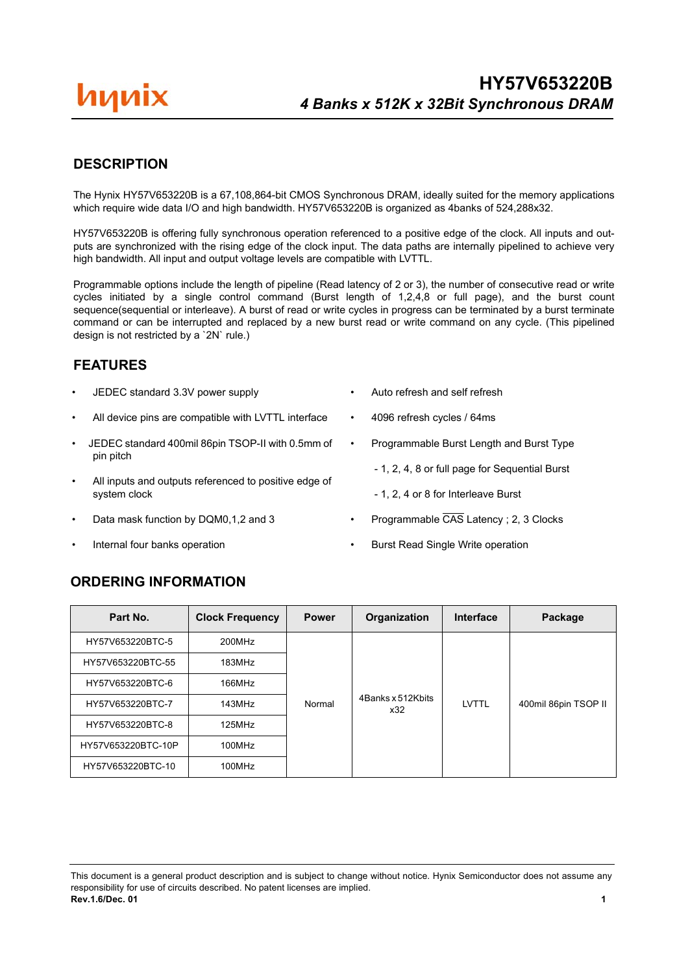# иииіх

## **DESCRIPTION**

The Hynix HY57V653220B is a 67,108,864-bit CMOS Synchronous DRAM, ideally suited for the memory applications which require wide data I/O and high bandwidth. HY57V653220B is organized as 4banks of 524,288x32.

HY57V653220B is offering fully synchronous operation referenced to a positive edge of the clock. All inputs and outputs are synchronized with the rising edge of the clock input. The data paths are internally pipelined to achieve very high bandwidth. All input and output voltage levels are compatible with LVTTL.

Programmable options include the length of pipeline (Read latency of 2 or 3), the number of consecutive read or write cycles initiated by a single control command (Burst length of 1,2,4,8 or full page), and the burst count sequence(sequential or interleave). A burst of read or write cycles in progress can be terminated by a burst terminate command or can be interrupted and replaced by a new burst read or write command on any cycle. (This pipelined design is not restricted by a `2N` rule.)

### **FEATURES**

- JEDEC standard 3.3V power supply
- All device pins are compatible with LVTTL interface
- JEDEC standard 400mil 86pin TSOP-II with 0.5mm of pin pitch
- All inputs and outputs referenced to positive edge of system clock
- Data mask function by DQM0,1,2 and 3
- Internal four banks operation
- Auto refresh and self refresh
- 4096 refresh cycles / 64ms
- Programmable Burst Length and Burst Type
	- 1, 2, 4, 8 or full page for Sequential Burst
	- 1, 2, 4 or 8 for Interleave Burst
- Programmable CAS Latency ; 2, 3 Clocks
- Burst Read Single Write operation

### **ORDERING INFORMATION**

| Part No.           | <b>Clock Frequency</b> | <b>Power</b> | Organization             | Interface | Package              |
|--------------------|------------------------|--------------|--------------------------|-----------|----------------------|
| HY57V653220BTC-5   | 200MHz                 |              |                          |           |                      |
| HY57V653220BTC-55  | 183MHz                 |              |                          |           |                      |
| HY57V653220BTC-6   | 166MHz                 |              |                          |           |                      |
| HY57V653220BTC-7   | 143MHz                 | Normal       | 4Banks x 512Kbits<br>x32 | LVTTL     | 400mil 86pin TSOP II |
| HY57V653220BTC-8   | 125MHz                 |              |                          |           |                      |
| HY57V653220BTC-10P | 100MHz                 |              |                          |           |                      |
| HY57V653220BTC-10  | 100MHz                 |              |                          |           |                      |

This document is a general product description and is subject to change without notice. Hynix Semiconductor does not assume any responsibility for use of circuits described. No patent licenses are implied. **Rev.1.6/Dec. 01 1**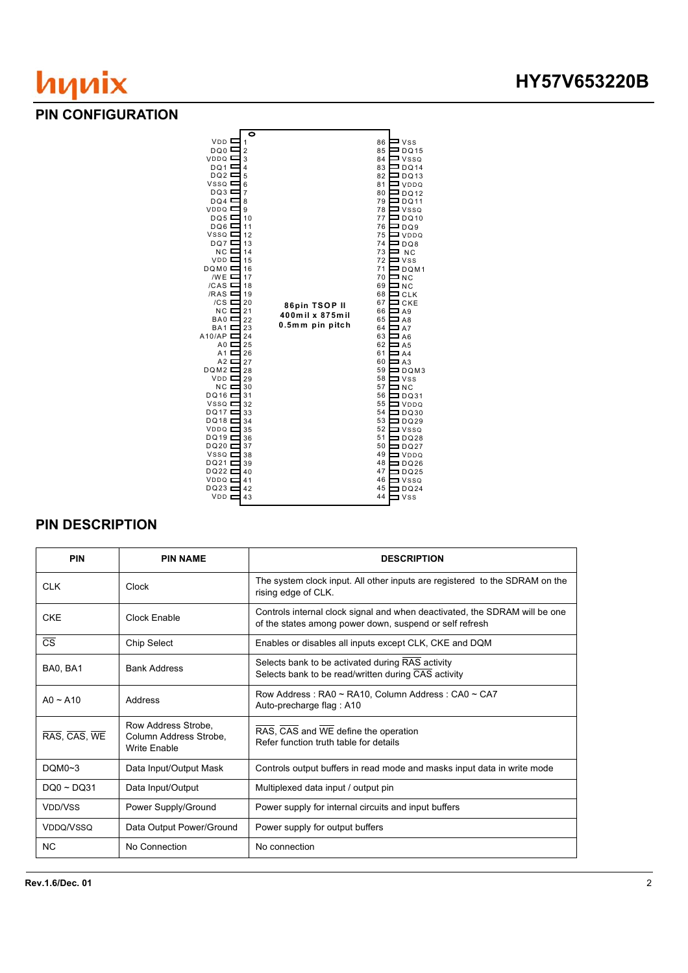### **PIN CONFIGURATION**



## **PIN DESCRIPTION**

| <b>PIN</b>                       | <b>PIN NAME</b>                                               | <b>DESCRIPTION</b>                                                                                                                    |
|----------------------------------|---------------------------------------------------------------|---------------------------------------------------------------------------------------------------------------------------------------|
| <b>CLK</b>                       | Clock                                                         | The system clock input. All other inputs are registered to the SDRAM on the<br>rising edge of CLK.                                    |
| <b>CKE</b>                       | Clock Enable                                                  | Controls internal clock signal and when deactivated, the SDRAM will be one<br>of the states among power down, suspend or self refresh |
| $\overline{\text{CS}}$           | <b>Chip Select</b>                                            | Enables or disables all inputs except CLK, CKE and DQM                                                                                |
| BA0, BA1                         | <b>Bank Address</b>                                           | Selects bank to be activated during RAS activity<br>Selects bank to be read/written during CAS activity                               |
| $AO \sim A10$                    | Address                                                       | Row Address: RA0 ~ RA10, Column Address: CA0 ~ CA7<br>Auto-precharge flag: A10                                                        |
| RAS, CAS, WE                     | Row Address Strobe.<br>Column Address Strobe,<br>Write Enable | RAS, CAS and WE define the operation<br>Refer function truth table for details                                                        |
| DOMO~3                           | Data Input/Output Mask                                        | Controls output buffers in read mode and masks input data in write mode                                                               |
| $DOO \sim DO31$                  | Data Input/Output                                             | Multiplexed data input / output pin                                                                                                   |
| V <sub>DD</sub> /V <sub>SS</sub> | Power Supply/Ground                                           | Power supply for internal circuits and input buffers                                                                                  |
| VDDQ/VSSQ                        | Data Output Power/Ground                                      | Power supply for output buffers                                                                                                       |
| <b>NC</b>                        | No Connection                                                 | No connection                                                                                                                         |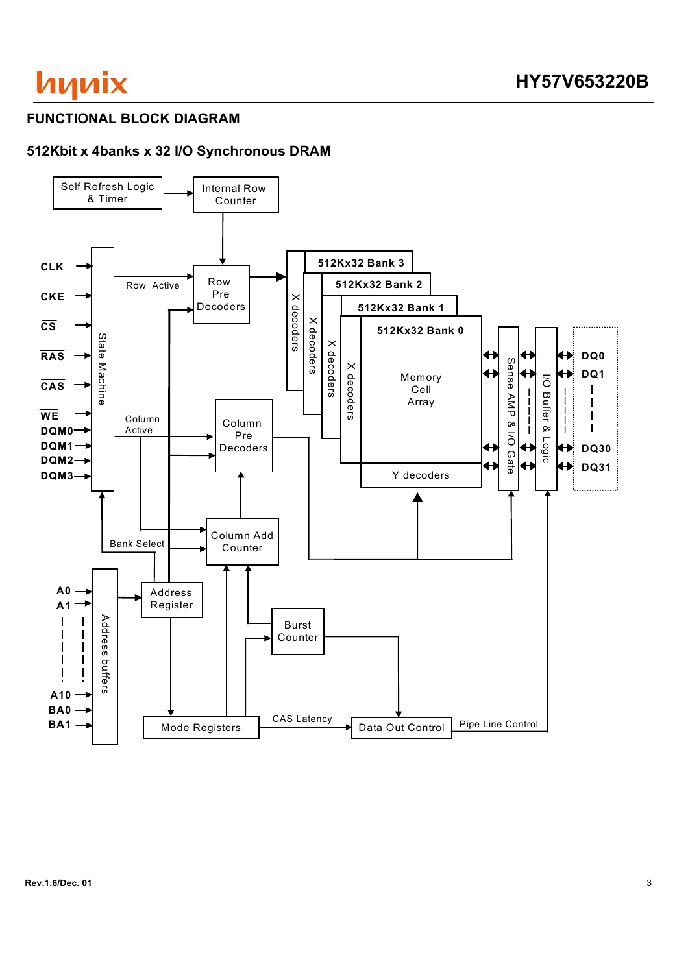## **FUNCTIONAL BLOCK DIAGRAM**

# **512Kbit x 4banks x 32 I/O Synchronous DRAM**

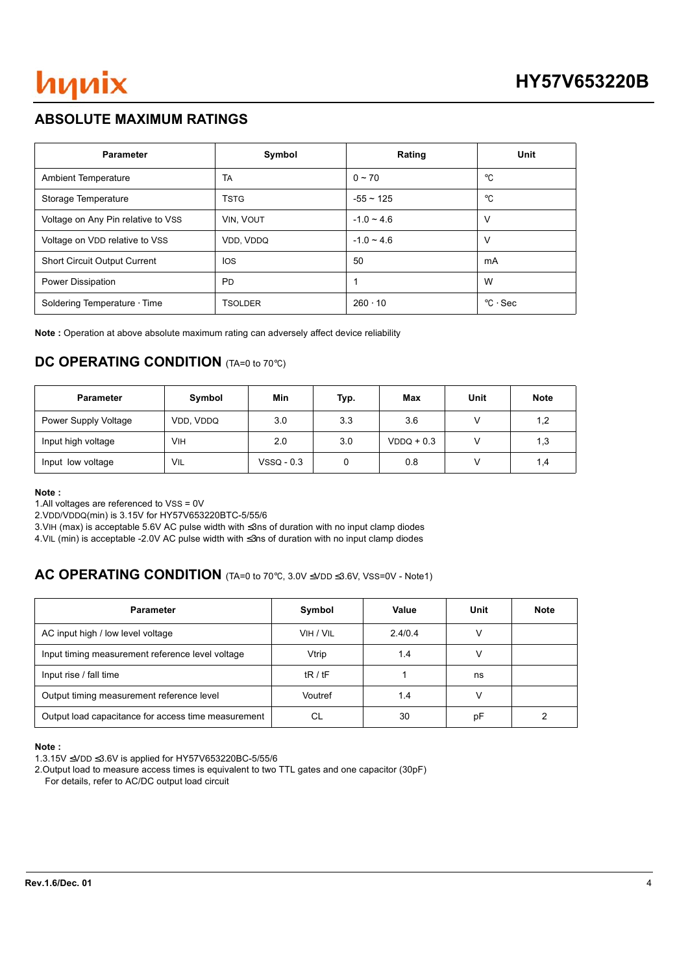## **ABSOLUTE MAXIMUM RATINGS**

| <b>Parameter</b>                    | Symbol         | Rating         | Unit                    |
|-------------------------------------|----------------|----------------|-------------------------|
| <b>Ambient Temperature</b>          | TA             | $0 \sim 70$    | $^{\circ}$ C            |
| Storage Temperature                 | <b>TSTG</b>    | $-55 \sim 125$ | $^{\circ}$ C            |
| Voltage on Any Pin relative to VSS  | VIN, VOUT      | $-1.0 - 4.6$   | ν                       |
| Voltage on VDD relative to VSS      | VDD, VDDQ      | $-1.0 - 4.6$   | ν                       |
| <b>Short Circuit Output Current</b> | <b>IOS</b>     | 50             | mA                      |
| Power Dissipation                   | <b>PD</b>      |                | W                       |
| Soldering Temperature Time          | <b>TSOLDER</b> | $260 \cdot 10$ | $\degree$ C $\cdot$ Sec |

**Note :** Operation at above absolute maximum rating can adversely affect device reliability

## **DC OPERATING CONDITION** (TA=0 to 70°C)

| <b>Parameter</b>     | Symbol    | Min          | Typ. | Max          | Unit | <b>Note</b> |
|----------------------|-----------|--------------|------|--------------|------|-------------|
| Power Supply Voltage | VDD, VDDQ | 3.0          | 3.3  | 3.6          |      | 1,2         |
| Input high voltage   | VІН       | 2.0          | 3.0  | $VDDQ + 0.3$ |      | 1,3         |
| Input low voltage    | VIL       | $VSSQ - 0.3$ |      | 0.8          |      | 1,4         |

#### **Note :**

1.All voltages are referenced to VSS = 0V

2.VDD/VDDQ(min) is 3.15V for HY57V653220BTC-5/55/6

3.VIH (max) is acceptable 5.6V AC pulse width with ≤3ns of duration with no input clamp diodes

4.VIL (min) is acceptable -2.0V AC pulse width with ≤3ns of duration with no input clamp diodes

### **AC OPERATING CONDITION** (TA=0 to 70℃, 3.0V ≤VDD ≤3.6V, VSS=0V - Note1)

| <b>Parameter</b>                                    | Symbol    | Value   | Unit | <b>Note</b> |
|-----------------------------------------------------|-----------|---------|------|-------------|
| AC input high / low level voltage                   | VIH / VIL | 2.4/0.4 |      |             |
| Input timing measurement reference level voltage    | Vtrip     | 1.4     |      |             |
| Input rise / fall time                              | tR/tF     |         | ns   |             |
| Output timing measurement reference level           | Voutref   | 1.4     |      |             |
| Output load capacitance for access time measurement | СL        | 30      | рF   |             |

**Note :** 

2.Output load to measure access times is equivalent to two TTL gates and one capacitor (30pF) For details, refer to AC/DC output load circuit

<sup>1.3.15</sup>V ≤VDD ≤3.6V is applied for HY57V653220BC-5/55/6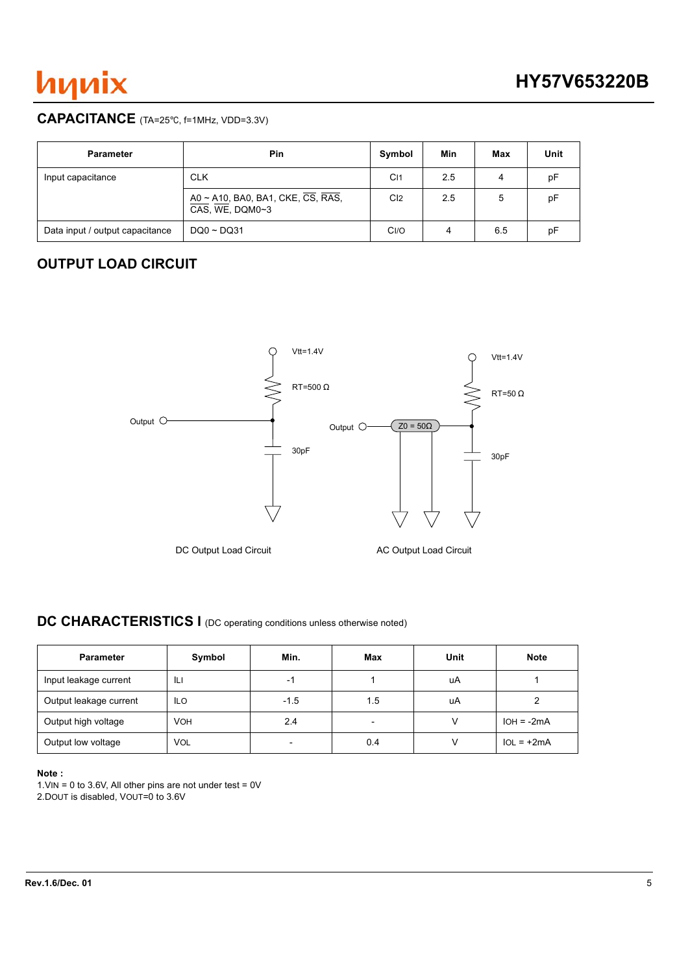

### **CAPACITANCE** (TA=25°C, f=1MHz, VDD=3.3V)

| <b>Parameter</b>                | Pin                                                                | Symbol          | Min | Max | Unit |
|---------------------------------|--------------------------------------------------------------------|-----------------|-----|-----|------|
| Input capacitance               | <b>CLK</b>                                                         | C <sub>11</sub> | 2.5 | 4   | рF   |
|                                 | A0 ~ A10, BA0, BA1, CKE, $\overline{CS}$ , RAS,<br>CAS, WE, DQM0~3 | C <sub>l2</sub> | 2.5 | 5   | рF   |
| Data input / output capacitance | $DOO \sim DO31$                                                    | CI/O            | 4   | 6.5 | рF   |

## **OUTPUT LOAD CIRCUIT**



# **DC CHARACTERISTICS I** (DC operating conditions unless otherwise noted)

| <b>Parameter</b>       | Symbol     | Min.                     | Max                      | Unit | <b>Note</b>  |
|------------------------|------------|--------------------------|--------------------------|------|--------------|
| Input leakage current  | IЦ         | -1                       |                          | uA   |              |
| Output leakage current | <b>ILO</b> | $-1.5$                   | 1.5                      | uA   |              |
| Output high voltage    | <b>VOH</b> | 2.4                      | $\overline{\phantom{a}}$ |      | $IOH = -2mA$ |
| Output low voltage     | VOL        | $\overline{\phantom{0}}$ | 0.4                      |      | $IOL = +2mA$ |

### **Note :**

1. VIN = 0 to 3.6V, All other pins are not under test =  $0V$ 

2.DOUT is disabled, VOUT=0 to 3.6V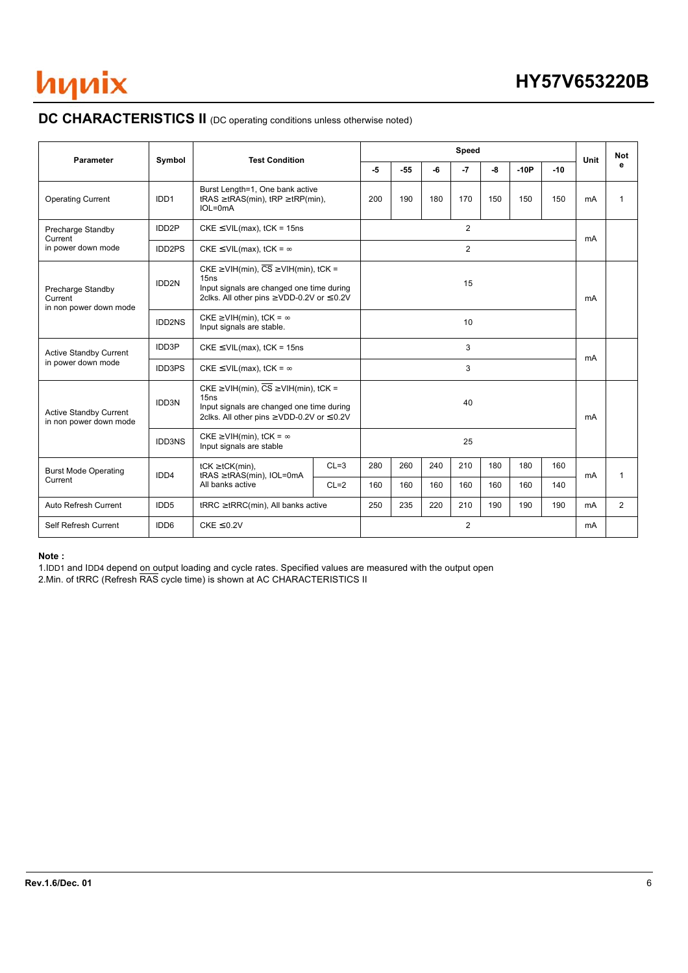

# **DC CHARACTERISTICS II** (DC operating conditions unless otherwise noted)

| Parameter                                               | Symbol            | <b>Test Condition</b>                                                                                                                                                    |          |                                               |       |                | <b>Speed</b> |     |        |     | Unit | <b>Not</b>   |
|---------------------------------------------------------|-------------------|--------------------------------------------------------------------------------------------------------------------------------------------------------------------------|----------|-----------------------------------------------|-------|----------------|--------------|-----|--------|-----|------|--------------|
|                                                         |                   |                                                                                                                                                                          |          | -5                                            | $-55$ | -6             | $-7$         | -8  | $-10P$ | -10 |      | е            |
| <b>Operating Current</b>                                | IDD <sub>1</sub>  | Burst Length=1, One bank active<br>tRAS $\geq$ tRAS(min), tRP $\geq$ tRP(min),<br>IOL=0mA                                                                                |          | 200                                           | 190   | 180            | 170          | 150 | 150    | 150 | mA   | $\mathbf{1}$ |
| Precharge Standby<br>Current                            | IDD <sub>2P</sub> | $CKE \leq VIL(max)$ , tCK = 15ns                                                                                                                                         | 2        |                                               |       |                |              |     |        |     |      |              |
| in power down mode                                      | IDD2PS            | CKE $\leq$ VIL(max), tCK = $\infty$<br>$CKE \geq VIH(min), \overline{CS} \geq VIH(min), tCK =$                                                                           |          |                                               |       | $\overline{2}$ |              |     |        | mA  |      |              |
| Precharge Standby<br>Current<br>in non power down mode  | IDD <sub>2N</sub> | 15ns<br>Input signals are changed one time during<br>2clks. All other pins $\geq$ VDD-0.2V or $\leq$ 0.2V                                                                |          |                                               |       | 15             |              |     |        | mA  |      |              |
|                                                         | IDD2NS            | $CKE \geq VIH(min), tCK = \infty$<br>Input signals are stable.                                                                                                           |          |                                               |       |                | 10           |     |        |     |      |              |
| <b>Active Standby Current</b>                           | IDD3P             | 3<br>$CKE \leq VIL(max)$ , tCK = 15ns                                                                                                                                    |          | <b>mA</b>                                     |       |                |              |     |        |     |      |              |
| in power down mode                                      | <b>IDD3PS</b>     | CKE $\leq$ VIL(max), tCK = $\infty$                                                                                                                                      |          |                                               |       |                | 3            |     |        |     |      |              |
| <b>Active Standby Current</b><br>in non power down mode | <b>IDD3N</b>      | CKE $\geq$ VIH(min), $\overline{CS}$ $\geq$ VIH(min), tCK =<br>15ns<br>Input signals are changed one time during<br>2clks. All other pins $\geq$ VDD-0.2V or $\leq$ 0.2V |          |                                               |       |                | 40           |     |        |     | mA   |              |
|                                                         | <b>IDD3NS</b>     | CKE $\geq$ VIH(min), tCK = $\infty$<br>Input signals are stable                                                                                                          |          |                                               |       |                | 25           |     |        |     |      |              |
| <b>Burst Mode Operating</b>                             | IDD <sub>4</sub>  | $tCK \geq tCK(min)$ ,<br>$tRAS \geq tRAS(min)$ , IOL=0mA                                                                                                                 | $CL = 3$ | 280                                           | 260   | 240            | 210          | 180 | 180    | 160 | mA   | 1            |
| Current                                                 |                   | All banks active                                                                                                                                                         | $CL=2$   | 160                                           | 160   | 160            | 160          | 160 | 160    | 140 |      |              |
| Auto Refresh Current                                    | IDD <sub>5</sub>  | $tRRC \geq tRRC(min)$ , All banks active                                                                                                                                 |          | 235<br>220<br>210<br>190<br>190<br>190<br>250 |       |                |              |     |        |     | mA   | 2            |
| Self Refresh Current                                    | IDD <sub>6</sub>  | $CKE \leq 0.2V$                                                                                                                                                          |          |                                               |       |                | 2            |     |        |     | mA   |              |

#### **Note :**

1.IDD1 and IDD4 depend on output loading and cycle rates. Specified values are measured with the output open 2.Min. of tRRC (Refresh RAS cycle time) is shown at AC CHARACTERISTICS II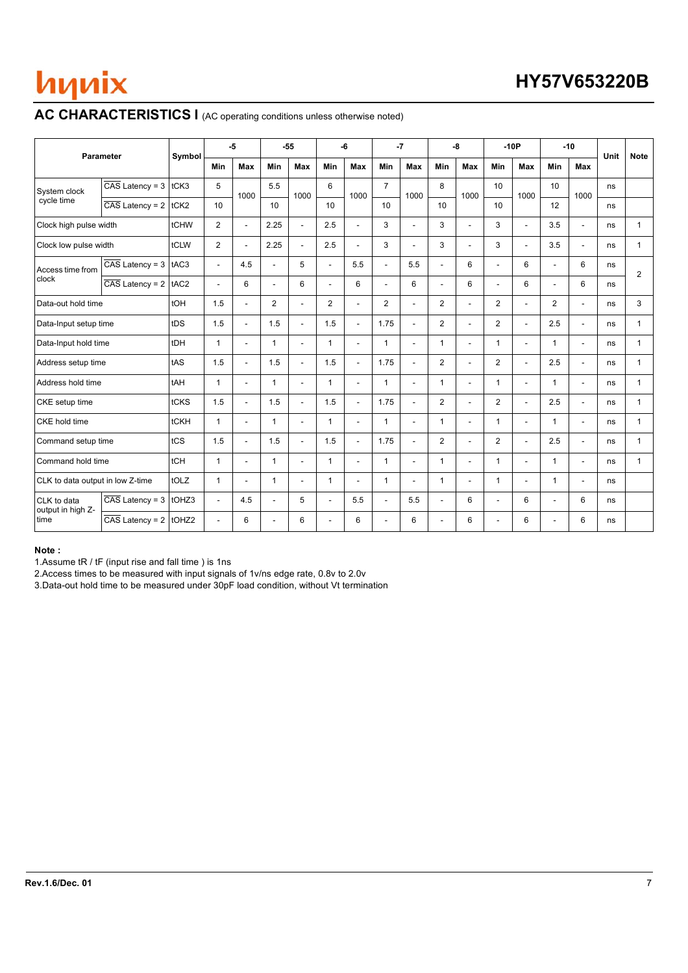# **AC CHARACTERISTICS I** (AC operating conditions unless otherwise noted)

|                                  | <b>Parameter</b>                     | Symbol |                          | $-5$                     |                | $-55$                    |                | -6                       |                          | $-7$                     |                | -8                       |                | $-10P$                   | $-10$                    |                          | Unit | <b>Note</b>  |
|----------------------------------|--------------------------------------|--------|--------------------------|--------------------------|----------------|--------------------------|----------------|--------------------------|--------------------------|--------------------------|----------------|--------------------------|----------------|--------------------------|--------------------------|--------------------------|------|--------------|
|                                  |                                      |        | Min                      | <b>Max</b>               | Min            | Max                      | Min            | <b>Max</b>               | Min                      | <b>Max</b>               | Min            | Max                      | Min            | Max                      | Min                      | Max                      |      |              |
| System clock                     | $\overline{CAS}$ Latency = 3         | tCK3   | 5                        | 1000                     | 5.5            | 1000                     | 6              | 1000                     | $\overline{7}$           | 1000                     | 8              | 1000                     | 10             | 1000                     | 10                       | 1000                     | ns   |              |
| cycle time                       | $\overline{CAS}$ Latency = 2         | tCK2   | 10                       |                          | 10             |                          | 10             |                          | 10                       |                          | 10             |                          | 10             |                          | 12                       |                          | ns   |              |
| Clock high pulse width           |                                      | tCHW   | $\mathbf{2}$             | $\sim$                   | 2.25           | ÷,                       | 2.5            | ÷,                       | 3                        | ÷.                       | 3              | $\blacksquare$           | 3              | ÷                        | 3.5                      | $\blacksquare$           | ns   | $\mathbf{1}$ |
| Clock low pulse width            |                                      | tCLW   | $\overline{2}$           | $\blacksquare$           | 2.25           | $\overline{\phantom{0}}$ | 2.5            | $\overline{\phantom{a}}$ | 3                        | $\blacksquare$           | 3              | $\overline{\phantom{a}}$ | 3              | $\blacksquare$           | 3.5                      | $\sim$                   | ns   | $\mathbf{1}$ |
| Access time from                 | $\overline{CAS}$ Latency = 3         | tAC3   | $\blacksquare$           | 4.5                      | $\sim$         | 5                        | $\sim$         | 5.5                      | $\overline{\phantom{a}}$ | 5.5                      | $\sim$         | 6                        | $\blacksquare$ | 6                        | $\overline{\phantom{a}}$ | 6                        | ns   | $\mathbf{2}$ |
| clock                            | $\overline{\text{CAS}}$ Latency = 2  | tAC2   | $\overline{\phantom{a}}$ | 6                        | $\sim$         | 6                        | $\sim$         | 6                        | $\overline{a}$           | 6                        | L.             | 6                        | $\blacksquare$ | 6                        |                          | 6                        | ns   |              |
| Data-out hold time               |                                      | tOH    | 1.5                      | $\mathbf{r}$             | $\overline{2}$ | ÷,                       | $\overline{2}$ | $\overline{\phantom{a}}$ | $\overline{2}$           | $\mathbf{r}$             | $\overline{2}$ | $\overline{a}$           | 2              | $\sim$                   | $\overline{2}$           | $\overline{\phantom{a}}$ | ns   | 3            |
| Data-Input setup time            |                                      | tDS    | 1.5                      | $\blacksquare$           | 1.5            | $\overline{\phantom{0}}$ | 1.5            | $\overline{\phantom{a}}$ | 1.75                     | $\blacksquare$           | 2              | $\overline{\phantom{a}}$ | $\overline{2}$ | ÷                        | 2.5                      | $\overline{\phantom{a}}$ | ns   | $\mathbf{1}$ |
| Data-Input hold time             |                                      | tDH    | $\mathbf{1}$             | $\overline{\phantom{a}}$ | $\mathbf{1}$   | $\overline{\phantom{a}}$ | $\mathbf{1}$   | L.                       | 1                        | $\sim$                   | $\mathbf{1}$   | $\blacksquare$           | $\mathbf{1}$   | $\overline{\phantom{a}}$ | 1                        | $\overline{\phantom{a}}$ | ns   | $\mathbf{1}$ |
| Address setup time               |                                      | tAS    | 1.5                      | $\sim$                   | 1.5            | ÷                        | 1.5            | $\overline{a}$           | 1.75                     | $\mathbf{r}$             | $\overline{2}$ | $\overline{a}$           | $\overline{2}$ | L.                       | 2.5                      | $\blacksquare$           | ns   | $\mathbf{1}$ |
| Address hold time                |                                      | tAH    | $\mathbf{1}$             | $\overline{\phantom{a}}$ | $\mathbf{1}$   | ÷,                       | 1              | $\overline{\phantom{a}}$ | $\mathbf{1}$             | $\overline{\phantom{a}}$ | $\mathbf{1}$   | $\blacksquare$           | $\mathbf{1}$   | $\overline{\phantom{a}}$ | $\mathbf{1}$             | $\overline{\phantom{a}}$ | ns   | $\mathbf{1}$ |
| CKE setup time                   |                                      | tCKS   | 1.5                      | $\sim$                   | 1.5            | ÷                        | 1.5            | $\overline{a}$           | 1.75                     | $\sim$                   | $\overline{2}$ | $\overline{a}$           | $\overline{2}$ | ÷                        | 2.5                      | $\overline{\phantom{a}}$ | ns   | $\mathbf{1}$ |
| CKE hold time                    |                                      | tCKH   | $\mathbf{1}$             | ۰                        | $\mathbf{1}$   | ٠                        | 1              | $\overline{\phantom{a}}$ | $\mathbf{1}$             | $\sim$                   | $\mathbf{1}$   | $\overline{\phantom{a}}$ | $\mathbf{1}$   | $\overline{\phantom{a}}$ | $\mathbf{1}$             | $\overline{\phantom{a}}$ | ns   | $\mathbf{1}$ |
| Command setup time               |                                      | tCS    | 1.5                      | $\blacksquare$           | 1.5            | ٠                        | 1.5            | $\overline{\phantom{a}}$ | 1.75                     | $\blacksquare$           | $\overline{2}$ | $\overline{\phantom{a}}$ | $\overline{2}$ | $\sim$                   | 2.5                      | $\overline{\phantom{a}}$ | ns   | $\mathbf{1}$ |
| Command hold time                |                                      | tCH    | $\mathbf{1}$             | $\mathbf{r}$             | $\mathbf{1}$   | ÷                        | 1              | $\overline{a}$           | $\mathbf{1}$             | $\overline{a}$           | $\mathbf{1}$   | $\blacksquare$           | $\mathbf{1}$   | $\overline{a}$           | 1                        | $\sim$                   | ns   | $\mathbf{1}$ |
| CLK to data output in low Z-time |                                      | tOLZ   | $\mathbf{1}$             | ÷                        | $\mathbf{1}$   | ÷,                       | $\mathbf{1}$   | $\overline{a}$           | $\mathbf{1}$             | ٠                        | $\mathbf{1}$   | $\overline{\phantom{a}}$ | $\mathbf{1}$   | $\overline{a}$           | $\mathbf{1}$             | $\blacksquare$           | ns   |              |
| CLK to data<br>output in high Z- | $\overline{CAS}$ Latency = 3   tOHZ3 |        | L.                       | 4.5                      | $\sim$         | 5                        | $\sim$         | 5.5                      | $\overline{a}$           | 5.5                      | L.             | 6                        | $\mathbf{r}$   | 6                        | $\overline{\phantom{a}}$ | 6                        | ns   |              |
| time                             | $\overline{CAS}$ Latency = 2 tOHZ2   |        | $\overline{a}$           | 6                        | ÷              | 6                        |                | 6                        | L,                       | 6                        | L.             | 6                        | $\blacksquare$ | 6                        |                          | 6                        | ns   |              |

#### **Note :**

1.Assume tR / tF (input rise and fall time ) is 1ns

2.Access times to be measured with input signals of 1v/ns edge rate, 0.8v to 2.0v

3.Data-out hold time to be measured under 30pF load condition, without Vt termination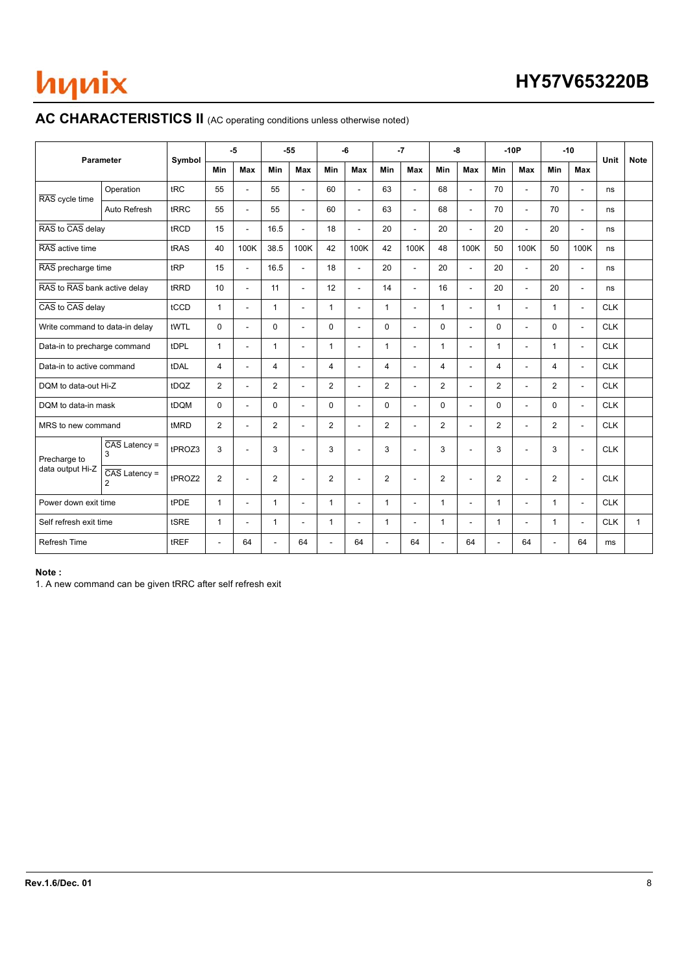# **HY57V653220B**

### AC CHARACTERISTICS II (AC operating conditions unless otherwise noted)

|                                | Parameter                                    | Symbol |                | $-5$                     |                | $-55$                    |                | -6                       |                | $-7$                     |                | -8                       |                | $-10P$                   |                | $-10$                    | Unit       | <b>Note</b>  |
|--------------------------------|----------------------------------------------|--------|----------------|--------------------------|----------------|--------------------------|----------------|--------------------------|----------------|--------------------------|----------------|--------------------------|----------------|--------------------------|----------------|--------------------------|------------|--------------|
|                                |                                              |        | <b>Min</b>     | Max                      | Min            | Max                      | Min            | Max                      | Min            | <b>Max</b>               | <b>Min</b>     | <b>Max</b>               | <b>Min</b>     | Max                      | <b>Min</b>     | Max                      |            |              |
| RAS cycle time                 | Operation                                    | tRC    | 55             | $\mathbf{r}$             | 55             | $\blacksquare$           | 60             | $\mathbf{r}$             | 63             | $\blacksquare$           | 68             | $\blacksquare$           | 70             | $\mathbf{r}$             | 70             | $\blacksquare$           | ns         |              |
|                                | Auto Refresh                                 | tRRC   | 55             | $\overline{a}$           | 55             | $\sim$                   | 60             | $\overline{a}$           | 63             | $\overline{\phantom{a}}$ | 68             | $\overline{a}$           | 70             | $\overline{a}$           | 70             | $\blacksquare$           | ns         |              |
| RAS to CAS delay               |                                              | tRCD   | 15             | ÷.                       | 16.5           | L.                       | 18             | ÷                        | 20             | $\overline{\phantom{a}}$ | 20             | $\overline{a}$           | 20             | ÷.                       | 20             | $\blacksquare$           | ns         |              |
| RAS active time                |                                              | tRAS   | 40             | 100K                     | 38.5           | 100K                     | 42             | 100K                     | 42             | 100K                     | 48             | 100K                     | 50             | 100K                     | 50             | 100K                     | ns         |              |
| RAS precharge time             |                                              | tRP    | 15             | $\mathbf{r}$             | 16.5           | $\overline{\phantom{a}}$ | 18             | $\blacksquare$           | 20             | $\overline{\phantom{a}}$ | 20             | $\overline{a}$           | 20             | L.                       | 20             | $\overline{\phantom{a}}$ | ns         |              |
| RAS to RAS bank active delay   |                                              | tRRD   | 10             | $\overline{\phantom{a}}$ | 11             | $\blacksquare$           | 12             | $\overline{\phantom{a}}$ | 14             | $\blacksquare$           | 16             | $\overline{\phantom{a}}$ | 20             | $\overline{\phantom{a}}$ | 20             | $\blacksquare$           | ns         |              |
| CAS to CAS delay               |                                              | tCCD   | $\mathbf{1}$   | $\overline{\phantom{a}}$ | $\mathbf{1}$   | $\overline{\phantom{a}}$ | $\mathbf{1}$   | $\blacksquare$           | $\mathbf{1}$   | $\blacksquare$           | $\mathbf{1}$   | $\overline{\phantom{a}}$ | $\mathbf{1}$   | $\overline{a}$           | $\mathbf{1}$   | $\overline{\phantom{a}}$ | <b>CLK</b> |              |
| Write command to data-in delay |                                              | tWTL   | $\mathbf 0$    |                          | $\mathbf 0$    | $\overline{a}$           | $\mathbf 0$    | ÷                        | 0              | $\blacksquare$           | $\mathbf 0$    | ÷                        | 0              | ÷.                       | 0              | ÷                        | <b>CLK</b> |              |
| Data-in to precharge command   |                                              | tDPL   | $\mathbf{1}$   | $\overline{a}$           | $\mathbf{1}$   | $\overline{\phantom{a}}$ | $\mathbf{1}$   | $\overline{a}$           | $\mathbf{1}$   | L.                       | $\mathbf{1}$   | ÷                        | $\mathbf{1}$   | ÷.                       | $\mathbf{1}$   | $\overline{\phantom{a}}$ | <b>CLK</b> |              |
| Data-in to active command      |                                              | tDAL   | 4              |                          | 4              | $\overline{a}$           | 4              | $\overline{a}$           | $\overline{4}$ | ٠                        | 4              | ÷                        | $\overline{4}$ | ٠                        | 4              | $\blacksquare$           | <b>CLK</b> |              |
| DQM to data-out Hi-Z           |                                              | tDQZ   | $\mathbf{2}$   | $\overline{\phantom{a}}$ | 2              | $\blacksquare$           | 2              | $\mathbf{r}$             | $\overline{2}$ | $\blacksquare$           | $\overline{2}$ | $\overline{a}$           | $\overline{2}$ | $\overline{a}$           | $\overline{2}$ | $\overline{\phantom{a}}$ | <b>CLK</b> |              |
| DQM to data-in mask            |                                              | tDQM   | $\mathbf 0$    | $\overline{\phantom{a}}$ | $\Omega$       | $\blacksquare$           | $\Omega$       | $\blacksquare$           | $\Omega$       | $\blacksquare$           | $\Omega$       | $\blacksquare$           | 0              | $\overline{a}$           | $\Omega$       | $\blacksquare$           | <b>CLK</b> |              |
| MRS to new command             |                                              | tMRD   | 2              | $\overline{\phantom{a}}$ | $\overline{2}$ | $\overline{\phantom{a}}$ | $\overline{2}$ | $\overline{\phantom{a}}$ | $\overline{2}$ | ٠                        | $\overline{2}$ | $\overline{\phantom{a}}$ | $\overline{2}$ | ٠                        | $\overline{2}$ | $\overline{\phantom{a}}$ | <b>CLK</b> |              |
| Precharge to                   | $\overline{CAS}$ Latency =<br>3              | tPROZ3 | 3              |                          | 3              | L,                       | 3              | $\overline{a}$           | 3              | ÷                        | 3              |                          | 3              | ä,                       | 3              | ÷,                       | <b>CLK</b> |              |
| data output Hi-Z               | $\overline{CAS}$ Latency =<br>$\overline{2}$ | tPROZ2 | 2              | $\overline{\phantom{a}}$ | 2              | $\blacksquare$           | 2              | $\blacksquare$           | 2              | ٠                        | $\overline{2}$ | $\overline{\phantom{a}}$ | $\overline{2}$ | $\overline{\phantom{a}}$ | $\overline{2}$ | $\overline{\phantom{a}}$ | <b>CLK</b> |              |
| Power down exit time           |                                              | tPDE   | $\mathbf{1}$   | $\overline{\phantom{a}}$ | $\mathbf{1}$   | $\overline{\phantom{a}}$ | $\mathbf{1}$   | $\blacksquare$           | $\mathbf{1}$   | ٠                        | $\mathbf{1}$   | $\overline{\phantom{a}}$ | $\mathbf{1}$   | ٠                        | $\mathbf{1}$   | $\overline{\phantom{a}}$ | <b>CLK</b> |              |
| Self refresh exit time         |                                              | tSRE   | $\mathbf{1}$   | ÷                        | $\mathbf{1}$   | $\sim$                   | $\mathbf{1}$   | $\blacksquare$           | $\mathbf{1}$   | $\blacksquare$           | 1              | $\blacksquare$           | $\mathbf{1}$   | ÷                        | $\mathbf{1}$   | $\overline{\phantom{a}}$ | <b>CLK</b> | $\mathbf{1}$ |
| Refresh Time                   |                                              | tREF   | $\overline{a}$ | 64                       | $\overline{a}$ | 64                       | $\overline{a}$ | 64                       | ÷.             | 64                       | $\overline{a}$ | 64                       | $\sim$         | 64                       |                | 64                       | ms         |              |

#### **Note :**

1. A new command can be given tRRC after self refresh exit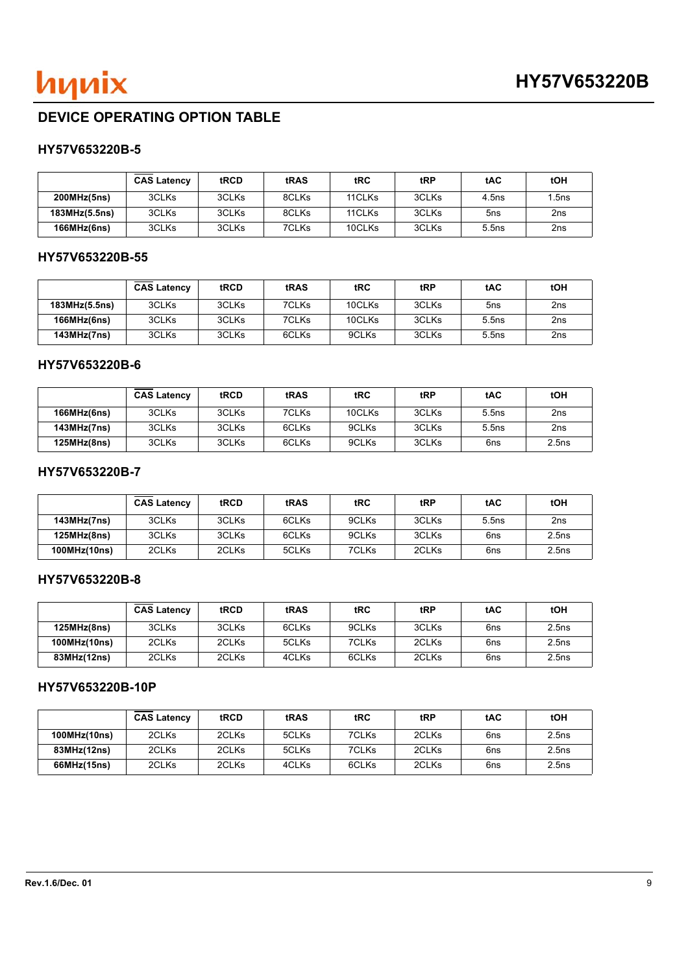

## **DEVICE OPERATING OPTION TABLE**

### **HY57V653220B-5**

|               | <b>CAS Latency</b> | tRCD  | tRAS  | tRC    | tRP   | tAC               | tOH   |
|---------------|--------------------|-------|-------|--------|-------|-------------------|-------|
| 200MHz(5ns)   | 3CLKs              | 3CLKs | 8CLKs | 11CLKs | 3CLKs | 4.5 <sub>ns</sub> | 1.5ns |
| 183MHz(5.5ns) | 3CLKs              | 3CLKs | 8CLKs | 11CLKs | 3CLKs | 5ns               | 2ns   |
| 166MHz(6ns)   | 3CLKs              | 3CLKs | 7CLKs | 10CLKs | 3CLKs | 5.5ns             | 2ns   |

### **HY57V653220B-55**

|                    | <b>CAS Latency</b> | tRCD  | tRAS  | tRC    | tRP   | tAC   | tOH |
|--------------------|--------------------|-------|-------|--------|-------|-------|-----|
| 183MHz(5.5ns)      | 3CLKs              | 3CLKs | 7CLKs | 10CLKs | 3CLKs | 5ns   | 2ns |
| <b>166MHz(6ns)</b> | 3CLKs              | 3CLKs | 7CLKs | 10CLKs | 3CLKs | 5.5ns | 2ns |
| <b>143MHz(7ns)</b> | 3CLKs              | 3CLKs | 6CLKs | 9CLKs  | 3CLKs | 5.5ns | 2ns |

### **HY57V653220B-6**

|             | <b>CAS Latency</b> | tRCD  | tRAS  | <b>tRC</b> | tRP   | tAC   | tOH   |
|-------------|--------------------|-------|-------|------------|-------|-------|-------|
| 166MHz(6ns) | 3CLKs              | 3CLKs | 7CLKs | 10CLKs     | 3CLKs | 5.5ns | 2ns   |
| 143MHz(7ns) | 3CLKs              | 3CLKs | 6CLKs | 9CLKs      | 3CLKs | 5.5ns | 2ns   |
| 125MHz(8ns) | 3CLKs              | 3CLKs | 6CLKs | 9CLKs      | 3CLKs | 6ns   | 2.5ns |

### **HY57V653220B-7**

|              | <b>CAS Latency</b> | tRCD  | tRAS  | tRC   | tRP   | tAC   | tOH             |
|--------------|--------------------|-------|-------|-------|-------|-------|-----------------|
| 143MHz(7ns)  | 3CLKs              | 3CLKs | 6CLKs | 9CLKs | 3CLKs | 5.5ns | 2 <sub>ns</sub> |
| 125MHz(8ns)  | 3CLKs              | 3CLKs | 6CLKs | 9CLKs | 3CLKs | 6ns   | 2.5ns           |
| 100MHz(10ns) | 2CLKs              | 2CLKs | 5CLKs | 7CLKs | 2CLKs | 6ns   | 2.5ns           |

### **HY57V653220B-8**

|              | <b>CAS Latency</b> | <b>tRCD</b> | tRAS  | tRC   | tRP   | <b>tAC</b> | tOH   |
|--------------|--------------------|-------------|-------|-------|-------|------------|-------|
| 125MHz(8ns)  | 3CLKs              | 3CLKs       | 6CLKs | 9CLKs | 3CLKs | 6ns        | 2.5ns |
| 100MHz(10ns) | 2CLKs              | 2CLKs       | 5CLKs | 7CLKs | 2CLKs | 6ns        | 2.5ns |
| 83MHz(12ns)  | 2CLKs              | 2CLKs       | 4CLKs | 6CLKs | 2CLKs | 6ns        | 2.5ns |

### **HY57V653220B-10P**

|              | <b>CAS Latency</b> | tRCD  | tRAS  | tRC   | tRP   | tAC | tOH   |
|--------------|--------------------|-------|-------|-------|-------|-----|-------|
| 100MHz(10ns) | 2CLKs              | 2CLKs | 5CLKs | 7CLKs | 2CLKs | 6ns | 2.5ns |
| 83MHz(12ns)  | 2CLKs              | 2CLKs | 5CLKs | 7CLKs | 2CLKs | 6ns | 2.5ns |
| 66MHz(15ns)  | 2CLKs              | 2CLKs | 4CLKs | 6CLKs | 2CLKs | 6ns | 2.5ns |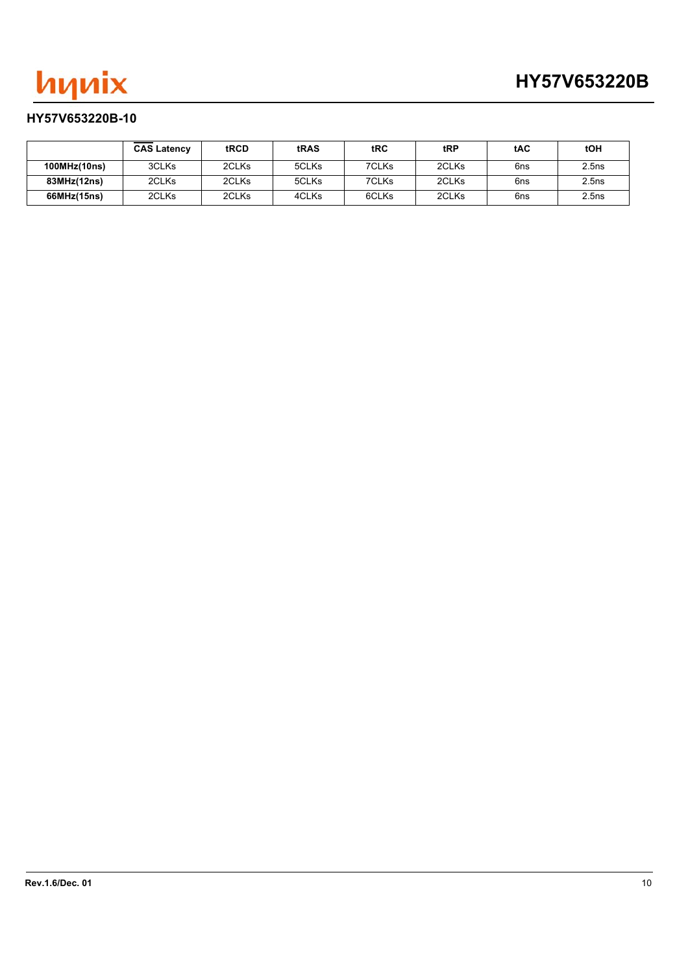

### **HY57V653220B-10**

|              | <b>CAS Latency</b> | tRCD  | tRAS  | tRC   | tRP   | tAC | tOH   |
|--------------|--------------------|-------|-------|-------|-------|-----|-------|
| 100MHz(10ns) | 3CLKs              | 2CLKs | 5CLKs | 7CLKs | 2CLKs | 6ns | 2.5ns |
| 83MHz(12ns)  | 2CLKs              | 2CLKs | 5CLKs | 7CLKs | 2CLKs | 6ns | 2.5ns |
| 66MHz(15ns)  | 2CLKs              | 2CLKs | 4CLKs | 6CLKs | 2CLKs | 6ns | 2.5ns |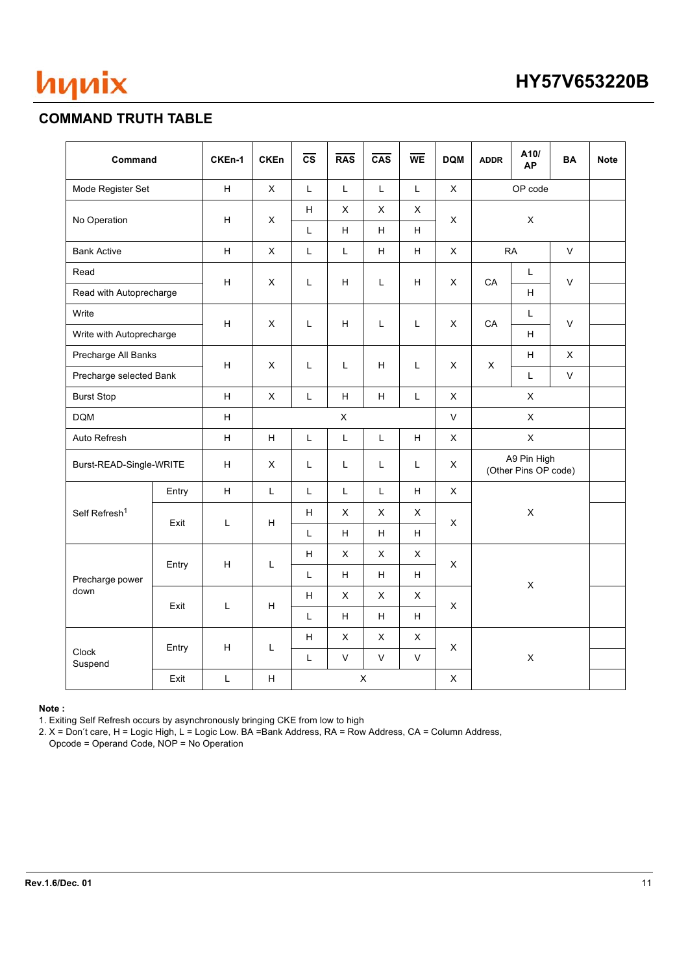

## **COMMAND TRUTH TABLE**

| Command                   |                     | CKEn-1                    | <b>CKEn</b>               | $\overline{\text{cs}}$         | <b>RAS</b>                | CAS            | $\overline{\text{WE}}$ | <b>DQM</b>   | <b>ADDR</b>                         | A10/<br><b>AP</b>        | <b>BA</b>    | <b>Note</b> |  |
|---------------------------|---------------------|---------------------------|---------------------------|--------------------------------|---------------------------|----------------|------------------------|--------------|-------------------------------------|--------------------------|--------------|-------------|--|
| Mode Register Set         |                     | H                         | $\mathsf{X}$              | L                              | $\mathsf L$               | L              | L                      | X            | OP code                             |                          |              |             |  |
| No Operation              |                     | $\boldsymbol{\mathsf{H}}$ | X                         | $\boldsymbol{\mathsf{H}}$<br>L | X<br>H                    | X<br>H         | X<br>H                 | X            | X                                   |                          |              |             |  |
| <b>Bank Active</b>        |                     | $\boldsymbol{\mathsf{H}}$ | $\pmb{\times}$            | $\mathsf L$                    | $\mathsf L$               | H              | H                      | $\mathsf{X}$ |                                     | $\mathsf V$<br><b>RA</b> |              |             |  |
| Read                      |                     |                           |                           |                                |                           | Г              | H                      |              |                                     | L                        | V            |             |  |
| Read with Autoprecharge   |                     | н                         | X                         | L                              | H                         |                |                        | X            | CA                                  | H                        |              |             |  |
| Write                     |                     | $\boldsymbol{\mathsf{H}}$ | $\pmb{\times}$            | L                              |                           | Г              | L                      | X            | CA                                  | L                        | $\mathsf V$  |             |  |
| Write with Autoprecharge  |                     |                           |                           |                                | H                         |                |                        |              |                                     | H                        |              |             |  |
|                           | Precharge All Banks |                           | $\pmb{\times}$            | L                              | L                         | н              | Г                      | X            | X                                   | H                        | X            |             |  |
| Precharge selected Bank   |                     | H                         |                           |                                |                           |                |                        |              |                                     | L                        | $\mathsf{V}$ |             |  |
| <b>Burst Stop</b>         |                     | H                         | X                         | L                              | H                         | H              | L                      | X            | X                                   |                          |              |             |  |
| <b>DQM</b>                |                     |                           |                           | $\pmb{\times}$                 |                           |                |                        | $\vee$       | $\mathsf X$                         |                          |              |             |  |
| Auto Refresh              |                     | H                         | H                         | L                              | $\mathsf L$               | L              | H                      | X            | $\pmb{\times}$                      |                          |              |             |  |
| Burst-READ-Single-WRITE   |                     | $\boldsymbol{\mathsf{H}}$ | X                         | L                              | $\mathsf L$               | L              | Г                      | X            | A9 Pin High<br>(Other Pins OP code) |                          |              |             |  |
|                           | Entry               | H                         | $\overline{L}$            | L                              | L                         | L              | H                      | X            |                                     |                          |              |             |  |
| Self Refresh <sup>1</sup> | Exit                | L                         |                           | H                              | $\boldsymbol{\mathsf{H}}$ | X              | X                      | X            | X                                   | $\pmb{\times}$           |              |             |  |
|                           |                     |                           |                           | L                              | H                         | H              | H.                     |              |                                     |                          |              |             |  |
|                           | Entry               | н                         | L                         | Н                              | $\pmb{\times}$            | $\pmb{\times}$ | $\mathsf{x}$           | X            |                                     |                          |              |             |  |
| Precharge power           |                     |                           |                           | L                              | H                         | H.             | H                      |              |                                     | X                        |              |             |  |
| down                      | Exit                | L                         | H                         | $\boldsymbol{\mathsf{H}}$      | $\mathsf{X}$              | X              | X                      | X            |                                     |                          |              |             |  |
|                           |                     |                           |                           | L                              | H                         | H              | H                      |              |                                     |                          |              |             |  |
|                           | Entry               | H                         | L                         | Н                              | X                         | X              | X                      | X            |                                     |                          |              |             |  |
| Clock<br>Suspend          |                     |                           |                           | L                              | $\vee$                    | $\mathsf{V}$   | $\mathsf{V}$           |              |                                     | $\pmb{\mathsf{X}}$       |              |             |  |
|                           | Exit                | $\mathsf L$               | $\boldsymbol{\mathsf{H}}$ | X<br>X                         |                           |                |                        |              |                                     |                          |              |             |  |

#### **Note :**

1. Exiting Self Refresh occurs by asynchronously bringing CKE from low to high

2. X = Don′t care, H = Logic High, L = Logic Low. BA =Bank Address, RA = Row Address, CA = Column Address,

Opcode = Operand Code, NOP = No Operation